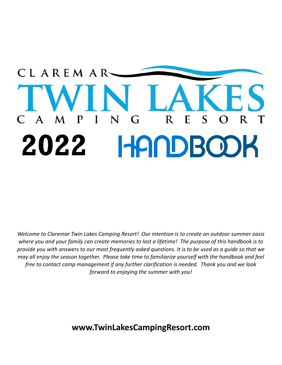### CLAREMAR-S N  $\mathbf{A}$ P  $\mathbf T$ G R E R 2022 HANDBOOK

*Welcome to Claremar Twin Lakes Camping Resort! Our intention is to create an outdoor summer oasis* where you and your family can create memories to last a lifetime! The purpose of this handbook is to provide you with answers to our most frequently asked questions. It is to be used as a guide so that we *may all enjoy the season together. Please take time to familiarize yourself with the handbook and feel free to contact camp management if any further clarification is needed. Thank you and we look forward to enjoying the summer with you!*

**www.TwinLakesCampingResort.com**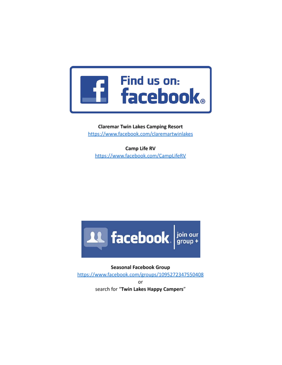

**Claremar Twin Lakes Camping Resort** https://www.facebook.com/claremartwinlakes

Camp Life RV https://www.facebook.com/CampLifeRV



**Seasonal Facebook Group** https://www.facebook.com/groups/1095272347550408 or search for "Twin Lakes Happy Campers"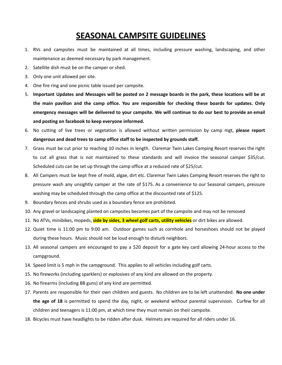## **SEASONAL CAMPSITE GUIDELINES**

- 1. RVs and campsites must be maintained at all times, including pressure washing, landscaping, and other maintenance as deemed necessary by park management.
- 2. Satellite dish must be on the camper or shed.
- 3. Only one unit allowed per site.
- 4. One fire ring and one picnic table issued per campsite.
- 5. Important Updates and Messages will be posted on 2 message boards in the park, these locations will be at **the main pavilion and the camp office. You are responsible for checking these boards for updates. Only** emergency messages will be delivered to your campsite. We will continue to do our best to provide an email **and posting on facebook to keep everyone informed.**
- 6. No cutting of live trees or vegetation is allowed without written permission by camp mgt, **please report dangerous and dead trees to camp office staff to be inspected by grounds staff.**
- 7. Grass must be cut prior to reaching 10 inches in length. Claremar Twin Lakes Camping Resort reserves the right to cut all grass that is not maintained to these standards and will invoice the seasonal camper \$35/cut. Scheduled cuts can be set up through the camp office at a reduced rate of \$25/cut.
- 8. All Campers must be kept free of mold, algae, dirt etc. Claremar Twin Lakes Camping Resort reserves the right to pressure wash any unsightly camper at the rate of \$175. As a convenience to our Seasonal campers, pressure washing may be scheduled through the camp office at the discounted rate of \$125.
- 9. Boundary fences and shrubs used as a boundary fence are prohibited.
- 10. Any gravel or landscaping planted on campsites becomes part of the campsite and may not be removed
- 11. No ATVs, minibikes, mopeds, **side by sides, 3 wheel golf carts, utility vehicles** or dirt bikes are allowed.
- 12. Quiet time is 11:00 pm to 9:00 am. Outdoor games such as cornhole and horseshoes should not be played during these hours. Music should not be loud enough to disturb neighbors.
- 13. All seasonal campers are encouraged to pay a \$20 deposit for a gate key card allowing 24-hour access to the campground.
- 14. Speed limit is 5 mph in the campground. This applies to all vehicles including golf carts.
- 15. No fireworks (including sparklers) or explosives of any kind are allowed on the property.
- 16. No firearms (including BB guns) of any kind are permitted.
- 17. Parents are responsible for their own children and guests. No children are to be left unattended. **No one under the age of 18** is permitted to spend the day, night, or weekend without parental supervision. Curfew for all children and teenagers is 11:00 pm, at which time they must remain on their campsite.
- 18. Bicycles must have headlights to be ridden after dusk. Helmets are required for all riders under 16.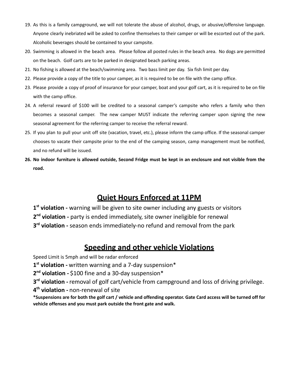- 19. As this is a family campground, we will not tolerate the abuse of alcohol, drugs, or abusive/offensive language. Anyone clearly inebriated will be asked to confine themselves to their camper or will be escorted out of the park. Alcoholic beverages should be contained to your campsite.
- 20. Swimming is allowed in the beach area. Please follow all posted rules in the beach area. No dogs are permitted on the beach. Golf carts are to be parked in designated beach parking areas.
- 21. No fishing is allowed at the beach/swimming area. Two bass limit per day. Six fish limit per day.
- 22. Please provide a copy of the title to your camper, as it is required to be on file with the camp office.
- 23. Please provide a copy of proof of insurance for your camper, boat and your golf cart, as it is required to be on file with the camp office.
- 24. A referral reward of \$100 will be credited to a seasonal camper's campsite who refers a family who then becomes a seasonal camper. The new camper MUST indicate the referring camper upon signing the new seasonal agreement for the referring camper to receive the referral reward.
- 25. If you plan to pull your unit off site (vacation, travel, etc.), please inform the camp office. If the seasonal camper chooses to vacate their campsite prior to the end of the camping season, camp management must be notified, and no refund will be issued.
- 26. No indoor furniture is allowed outside, Second Fridge must be kept in an enclosure and not visible from the **road.**

## **Quiet Hours Enforced at 11PM**

**1 st violation -** warning will be given to site owner including any guests or visitors **2 nd violation -** party is ended immediately, site owner ineligible for renewal **3 rd violation -** season ends immediately-no refund and removal from the park

## **Speeding and other vehicle Violations**

Speed Limit is 5mph and will be radar enforced

**1 st violation -** written warning and a 7-day suspension\*

**2 nd violation -** \$100 fine and a 30-day suspension\*

**3 rd violation -** removal of golf cart/vehicle from campground and loss of driving privilege. **4 th violation -** non-renewal of site

\*Suspensions are for both the golf cart / vehicle and offending operator. Gate Card access will be turned off for **vehicle offenses and you must park outside the front gate and walk.**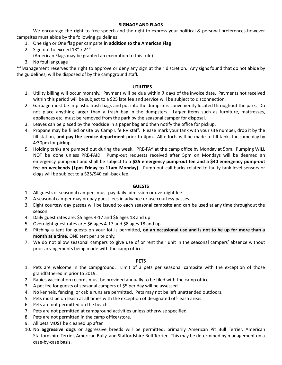#### **SIGNAGE AND FLAGS**

We encourage the right to free speech and the right to express your political & personal preferences however campsites must abide by the following guidelines:

- 1. One sign or One flag per campsite **in addition to the American Flag**
- 2. Sign not to exceed 18" x 24" (American Flags may be granted an exemption to this rule)
- 
- 3. No foul language

\*\*Management reserves the right to approve or deny any sign at their discretion. Any signs found that do not abide by the guidelines, will be disposed of by the campground staff.

#### **UTILITIES**

- 1. Utility billing will occur monthly. Payment will be due within **7** days of the invoice date. Payments not received within this period will be subject to a \$25 late fee and service will be subject to disconnection.
- 2. Garbage must be in plastic trash bags and put into the dumpsters conveniently located throughout the park. Do not place anything larger than a trash bag in the dumpsters. Larger items such as furniture, mattresses, appliances etc. must be removed from the park by the seasonal camper for disposal.
- 3. Leaves can be placed by the roadside in a paper bag and then notify the office for pickup.
- 4. Propane may be filled onsite by Camp Life RV staff. Please mark your tank with your site number, drop it by the fill station, **and pay the service department** prior to 4pm. All efforts will be made to fill tanks the same day by 4:30pm for pickup.
- 5. Holding tanks are pumped out during the week. PRE-PAY at the camp office by Monday at 5pm. Pumping WILL NOT be done unless PRE-PAID. Pump-out requests received after 5pm on Mondays will be deemed an emergency pump-out and shall be subject to a **\$25 emergency pump-out fee and a \$40 emergency pump-out fee on weekends (1pm Friday to 11am Monday)**. Pump-out call-backs related to faulty tank level sensors or clogs will be subject to a \$25/\$40 call-back fee.

#### **GUESTS**

- 1. All guests of seasonal campers must pay daily admission or overnight fee.
- 2. A seasonal camper may prepay guest fees in advance or use courtesy passes.
- 3. Eight courtesy day passes will be issued to each seasonal campsite and can be used at any time throughout the season.
- 4. Daily guest rates are: \$5 ages 4-17 and \$6 ages 18 and up.
- 5. Overnight guest rates are: \$6 ages 4-17 and \$8 ages 18 and up.
- 6. Pitching a tent for guests on your lot is permitted, **on an occasional use and is not to be up for more than a month at a time.** ONE tent per site only.
- 7. We do not allow seasonal campers to give use of or rent their unit in the seasonal campers' absence without prior arrangements being made with the camp office.

#### **PETS**

- 1. Pets are welcome in the campground. Limit of 3 pets per seasonal campsite with the exception of those grandfathered in prior to 2019.
- 2. Rabies vaccination records must be provided annually to be filed with the camp office.
- 3. A pet fee for guests of seasonal campers of \$5 per day will be assessed.
- 4. No kennels, fencing, or cable runs are permitted. Pets may not be left unattended outdoors.
- 5. Pets must be on leash at all times with the exception of designated off-leash areas.
- 6. Pets are not permitted on the beach.
- 7. Pets are not permitted at campground activities unless otherwise specified.
- 8. Pets are not permitted in the camp office/store.
- 9. All pets MUST be cleaned up after.
- 10. No **aggressive dogs** or aggressive breeds will be permitted, primarily American Pit Bull Terrier, American Staffordshire Terrier, American Bully, and Staffordshire Bull Terrier. This may be determined by management on a case-by-case basis.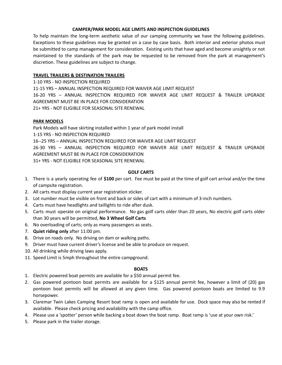#### **CAMPER/PARK MODEL AGE LIMITS AND INSPECTION GUIDELINES**

To help maintain the long-term aesthetic value of our camping community we have the following guidelines. Exceptions to these guidelines may be granted on a case by case basis. Both interior and exterior photos must be submitted to camp management for consideration. Existing units that have aged and become unsightly or not maintained to the standards of the park may be requested to be removed from the park at management's discretion. These guidelines are subject to change.

#### **TRAVEL TRAILERS & DESTINATION TRAILERS**

1-10 YRS - NO INSPECTION REQUIRED

11-15 YRS – ANNUAL INSPECTION REQUIRED FOR WAIVER AGE LIMIT REQUEST

16-20 YRS – ANNUAL INSPECTION REQUIRED FOR WAIVER AGE LIMIT REQUEST & TRAILER UPGRADE AGREEMENT MUST BE IN PLACE FOR CONSIDERATION

21+ YRS - NOT ELIGIBLE FOR SEASONAL SITE RENEWAL

#### **PARK MODELS**

Park Models will have skirting installed within 1 year of park model install 1-15 YRS - NO INSPECTION REQUIRED 16--25 YRS – ANNUAL INSPECTION REQUIRED FOR WAIVER AGE LIMIT REQUEST 26-30 YRS – ANNUAL INSPECTION REQUIRED FOR WAIVER AGE LIMIT REQUEST & TRAILER UPGRADE AGREEMENT MUST BE IN PLACE FOR CONSIDERATION 31+ YRS - NOT ELIGIBLE FOR SEASONAL SITE RENEWAL

#### **GOLF CARTS**

- 1. There is a yearly operating fee of **\$100** per cart. Fee must be paid at the time of golf cart arrival and/or the time of campsite registration.
- 2. All carts must display current year registration sticker.
- 3. Lot number must be visible on front and back or sides of cart with a minimum of 3-inch numbers.
- 4. Carts must have headlights and taillights to ride after dusk.
- 5. Carts must operate on original performance. No gas golf carts older than 20 years, No electric golf carts older than 30 years will be permitted, **No 3 Wheel Golf Carts**
- 6. No overloading of carts; only as many passengers as seats.
- 7. **Quiet riding only** after 11:00 pm.
- 8. Drive on roads only. No driving on dam or walking paths.
- 9. Driver must have current driver's license and be able to produce on request.
- 10. All drinking while driving laws apply.
- 11. Speed Limit is 5mph throughout the entire campground.

#### **BOATS**

- 1. Electric powered boat permits are available for a \$50 annual permit fee.
- 2. Gas powered pontoon boat permits are available for a \$125 annual permit fee, however a limit of (20) gas pontoon boat permits will be allowed at any given time. Gas powered pontoon boats are limited to 9.9 horsepower.
- 3. Claremar Twin Lakes Camping Resort boat ramp is open and available for use. Dock space may also be rented if available. Please check pricing and availability with the camp office.
- 4. Please use a 'spotter' person while backing a boat down the boat ramp. Boat ramp is 'use at your own risk.'
- 5. Please park in the trailer storage.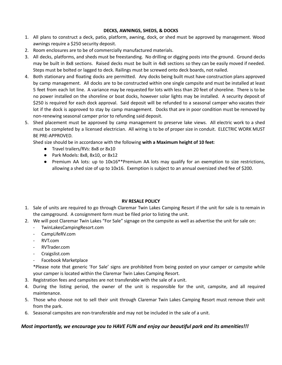#### **DECKS, AWNINGS, SHEDS, & DOCKS**

- 1. All plans to construct a deck, patio, platform, awning, dock, or shed must be approved by management. Wood awnings require a \$250 security deposit.
- 2. Room enclosures are to be of commercially manufactured materials.
- 3. All decks, platforms, and sheds must be freestanding. No drilling or digging posts into the ground. Ground decks may be built in 8x8 sections. Raised decks must be built in 4x8 sections so they can be easily moved if needed. Steps must be bolted or lagged to deck. Railings must be screwed onto deck boards, not nailed.
- 4. Both stationary and floating docks are permitted. Any docks being built must have construction plans approved by camp management. All docks are to be constructed within one single campsite and must be installed at least 5 feet from each lot line. A variance may be requested for lots with less than 20 feet of shoreline. There is to be no power installed on the shoreline or boat docks, however solar lights may be installed. A security deposit of \$250 is required for each dock approval. Said deposit will be refunded to a seasonal camper who vacates their lot if the dock is approved to stay by camp management. Docks that are in poor condition must be removed by non-renewing seasonal camper prior to refunding said deposit.
- 5. Shed placement must be approved by camp management to preserve lake views. All electric work to a shed must be completed by a licensed electrician. All wiring is to be of proper size in conduit. ELECTRIC WORK MUST BE PRE-APPROVED.

Shed size should be in accordance with the following **with a Maximum height of 10 feet**:

- Travel trailers/RVs: 8x8 or 8x10
- Park Models: 8x8, 8x10, or 8x12
- Premium AA lots: up to 10x16\*\*Premium AA lots may qualify for an exemption to size restrictions, allowing a shed size of up to 10x16. Exemption is subject to an annual oversized shed fee of \$200.

#### **RV RESALE POLICY**

- 1. Sale of units are required to go through Claremar Twin Lakes Camping Resort if the unit for sale is to remain in the campground. A consignment form must be filed prior to listing the unit.
- 2. We will post Claremar Twin Lakes "For Sale" signage on the campsite as well as advertise the unit for sale on:
	- TwinLakesCampingResort.com
	- CampLifeRV.com
	- RVT.com
	- RVTrader.com
	- Craigslist.com
	- Facebook Marketplace

\*Please note that generic 'For Sale' signs are prohibited from being posted on your camper or campsite while your camper is located within the Claremar Twin Lakes Camping Resort.

- 3. Registration fees and campsites are not transferable with the sale of a unit.
- 4. During the listing period, the owner of the unit is responsible for the unit, campsite, and all required maintenance.
- 5. Those who choose not to sell their unit through Claremar Twin Lakes Camping Resort must remove their unit from the park.
- 6. Seasonal campsites are non-transferable and may not be included in the sale of a unit.

#### *Most importantly, we encourage you to HAVE FUN and enjoy our beautiful park and its amenities!!!*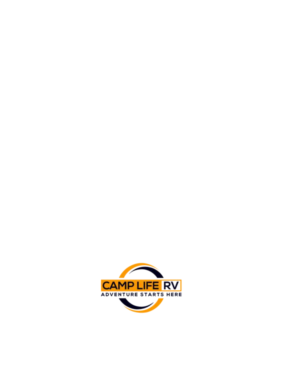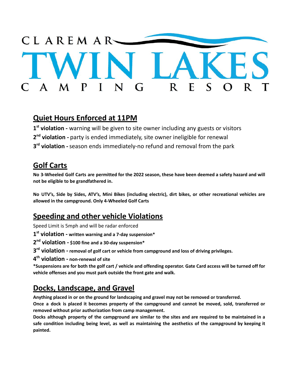

### **Quiet Hours Enforced at 11PM**

**1 st violation -** warning will be given to site owner including any guests or visitors **2 nd violation -** party is ended immediately, site owner ineligible for renewal **3 rd violation -**season ends immediately-no refund and removal from the park

## **Golf Carts**

No 3-Wheeled Golf Carts are permitted for the 2022 season, these have been deemed a safety hazard and will **not be eligible to be grandfathered in.**

No UTV's, Side by Sides, ATV's, Mini Bikes (including electric), dirt bikes, or other recreational vehicles are **allowed in the campground. Only 4-Wheeled Golf Carts**

## **Speeding and other vehicle Violations**

Speed Limit is 5mph and will be radar enforced

**1 st violation - written warning and a 7-day suspension\***

**2 nd violation - \$100 fine and a 30-day suspension\***

**3 rd violation - removal of golf cart or vehicle from campground and loss of driving privileges.**

**4 th violation - non-renewal of site**

\*Suspensions are for both the golf cart / vehicle and offending operator. Gate Card access will be turned off for **vehicle offenses and you must park outside the front gate and walk.**

# **Docks, Landscape, and Gravel**

**Anything placed in or on the ground for landscaping and gravel may not be removed or transferred.**

Once a dock is placed it becomes property of the campground and cannot be moved, sold, transferred or **removed without prior authorization from camp management.**

Docks although property of the campground are similar to the sites and are required to be maintained in a safe condition including being level, as well as maintaining the aesthetics of the campground by keeping it **painted.**